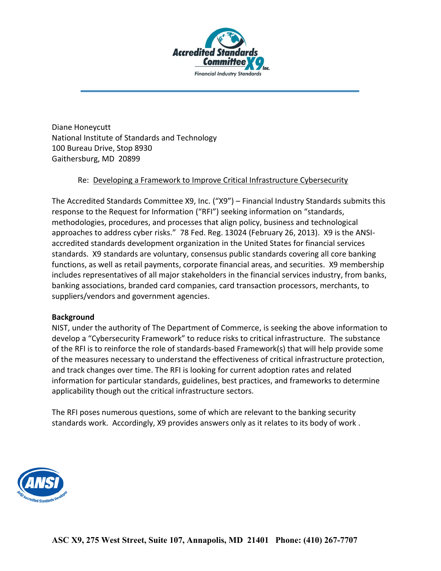

Diane Honeycutt National Institute of Standards and Technology 100 Bureau Drive, Stop 8930 Gaithersburg, MD 20899

## Re: Developing a Framework to Improve Critical Infrastructure Cybersecurity

The Accredited Standards Committee X9, Inc. ("X9") – Financial Industry Standards submits this response to the Request for Information ("RFI") seeking information on "standards, methodologies, procedures, and processes that align policy, business and technological approaches to address cyber risks." 78 Fed. Reg. 13024 (February 26, 2013). X9 is the ANSIaccredited standards development organization in the United States for financial services standards. X9 standards are voluntary, consensus public standards covering all core banking functions, as well as retail payments, corporate financial areas, and securities. X9 membership includes representatives of all major stakeholders in the financial services industry, from banks, banking associations, branded card companies, card transaction processors, merchants, to suppliers/vendors and government agencies.

## **Background**

NIST, under the authority of The Department of Commerce, is seeking the above information to develop a "Cybersecurity Framework" to reduce risks to critical infrastructure. The substance of the RFI is to reinforce the role of standards-based Framework(s) that will help provide some of the measures necessary to understand the effectiveness of critical infrastructure protection, and track changes over time. The RFI is looking for current adoption rates and related information for particular standards, guidelines, best practices, and frameworks to determine applicability though out the critical infrastructure sectors.

The RFI poses numerous questions, some of which are relevant to the banking security standards work. Accordingly, X9 provides answers only as it relates to its body of work .

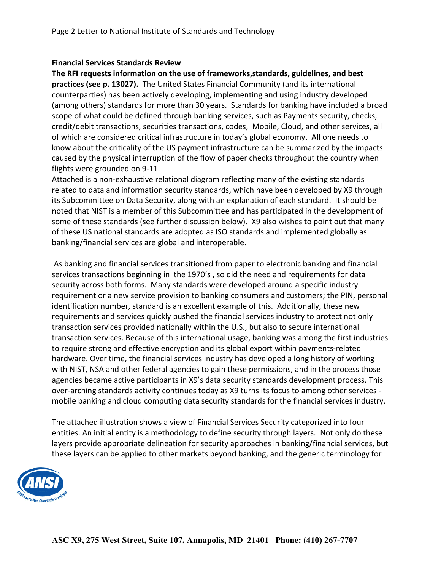## **Financial Services Standards Review**

**The RFI requests information on the use of frameworks,standards, guidelines, and best practices (see p. 13027).** The United States Financial Community (and its international counterparties) has been actively developing, implementing and using industry developed (among others) standards for more than 30 years. Standards for banking have included a broad scope of what could be defined through banking services, such as Payments security, checks, credit/debit transactions, securities transactions, codes, Mobile, Cloud, and other services, all of which are considered critical infrastructure in today's global economy. All one needs to know about the criticality of the US payment infrastructure can be summarized by the impacts caused by the physical interruption of the flow of paper checks throughout the country when flights were grounded on 9-11.

Attached is a non-exhaustive relational diagram reflecting many of the existing standards related to data and information security standards, which have been developed by X9 through its Subcommittee on Data Security, along with an explanation of each standard. It should be noted that NIST is a member of this Subcommittee and has participated in the development of some of these standards (see further discussion below). X9 also wishes to point out that many of these US national standards are adopted as ISO standards and implemented globally as banking/financial services are global and interoperable.

As banking and financial services transitioned from paper to electronic banking and financial services transactions beginning in the 1970's , so did the need and requirements for data security across both forms. Many standards were developed around a specific industry requirement or a new service provision to banking consumers and customers; the PIN, personal identification number, standard is an excellent example of this. Additionally, these new requirements and services quickly pushed the financial services industry to protect not only transaction services provided nationally within the U.S., but also to secure international transaction services. Because of this international usage, banking was among the first industries to require strong and effective encryption and its global export within payments-related hardware. Over time, the financial services industry has developed a long history of working with NIST, NSA and other federal agencies to gain these permissions, and in the process those agencies became active participants in X9's data security standards development process. This over-arching standards activity continues today as X9 turns its focus to among other services mobile banking and cloud computing data security standards for the financial services industry.

The attached illustration shows a view of Financial Services Security categorized into four entities. An initial entity is a methodology to define security through layers. Not only do these layers provide appropriate delineation for security approaches in banking/financial services, but these layers can be applied to other markets beyond banking, and the generic terminology for

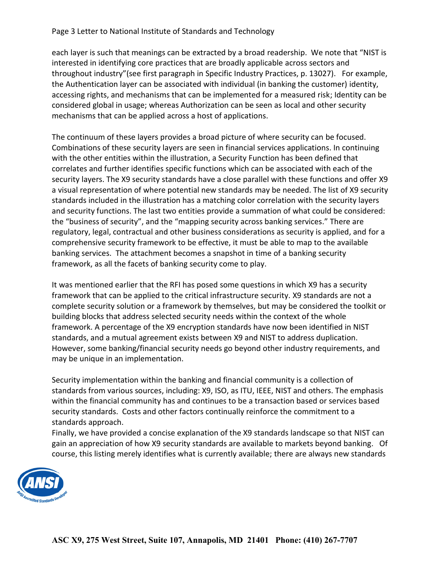each layer is such that meanings can be extracted by a broad readership. We note that "NIST is interested in identifying core practices that are broadly applicable across sectors and throughout industry"(see first paragraph in Specific Industry Practices, p. 13027). For example, the Authentication layer can be associated with individual (in banking the customer) identity, accessing rights, and mechanisms that can be implemented for a measured risk; Identity can be considered global in usage; whereas Authorization can be seen as local and other security mechanisms that can be applied across a host of applications.

The continuum of these layers provides a broad picture of where security can be focused. Combinations of these security layers are seen in financial services applications. In continuing with the other entities within the illustration, a Security Function has been defined that correlates and further identifies specific functions which can be associated with each of the security layers. The X9 security standards have a close parallel with these functions and offer X9 a visual representation of where potential new standards may be needed. The list of X9 security standards included in the illustration has a matching color correlation with the security layers and security functions. The last two entities provide a summation of what could be considered: the "business of security", and the "mapping security across banking services." There are regulatory, legal, contractual and other business considerations as security is applied, and for a comprehensive security framework to be effective, it must be able to map to the available banking services. The attachment becomes a snapshot in time of a banking security framework, as all the facets of banking security come to play.

It was mentioned earlier that the RFI has posed some questions in which X9 has a security framework that can be applied to the critical infrastructure security. X9 standards are not a complete security solution or a framework by themselves, but may be considered the toolkit or building blocks that address selected security needs within the context of the whole framework. A percentage of the X9 encryption standards have now been identified in NIST standards, and a mutual agreement exists between X9 and NIST to address duplication. However, some banking/financial security needs go beyond other industry requirements, and may be unique in an implementation.

Security implementation within the banking and financial community is a collection of standards from various sources, including: X9, ISO, as ITU, IEEE, NIST and others. The emphasis within the financial community has and continues to be a transaction based or services based security standards. Costs and other factors continually reinforce the commitment to a standards approach.

Finally, we have provided a concise explanation of the X9 standards landscape so that NIST can gain an appreciation of how X9 security standards are available to markets beyond banking. Of course, this listing merely identifies what is currently available; there are always new standards